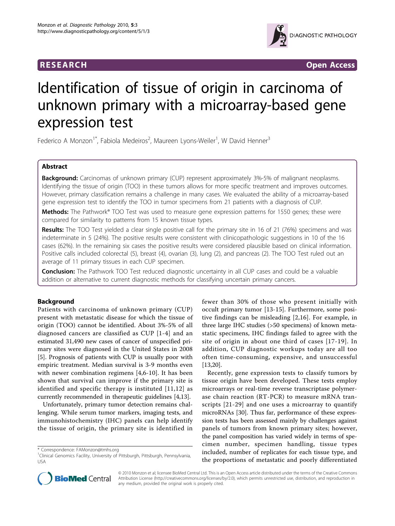

**RESEARCH CONSTRUCTER CONSTRUCTS CONSTRUCTS** 

# Identification of tissue of origin in carcinoma of unknown primary with a microarray-based gene expression test

Federico A Monzon<sup>1\*</sup>, Fabiola Medeiros<sup>2</sup>, Maureen Lyons-Weiler<sup>1</sup>, W David Henner<sup>3</sup>

# Abstract

Background: Carcinomas of unknown primary (CUP) represent approximately 3%-5% of malignant neoplasms. Identifying the tissue of origin (TOO) in these tumors allows for more specific treatment and improves outcomes. However, primary classification remains a challenge in many cases. We evaluated the ability of a microarray-based gene expression test to identify the TOO in tumor specimens from 21 patients with a diagnosis of CUP.

Methods: The Pathwork® TOO Test was used to measure gene expression patterns for 1550 genes; these were compared for similarity to patterns from 15 known tissue types.

Results: The TOO Test yielded a clear single positive call for the primary site in 16 of 21 (76%) specimens and was indeterminate in 5 (24%). The positive results were consistent with clinicopathologic suggestions in 10 of the 16 cases (62%). In the remaining six cases the positive results were considered plausible based on clinical information. Positive calls included colorectal (5), breast (4), ovarian (3), lung (2), and pancreas (2). The TOO Test ruled out an average of 11 primary tissues in each CUP specimen.

**Conclusion:** The Pathwork TOO Test reduced diagnostic uncertainty in all CUP cases and could be a valuable addition or alternative to current diagnostic methods for classifying uncertain primary cancers.

# Background

Patients with carcinoma of unknown primary (CUP) present with metastatic disease for which the tissue of origin (TOO) cannot be identified. About 3%-5% of all diagnosed cancers are classified as CUP [[1-4\]](#page-7-0) and an estimated 31,490 new cases of cancer of unspecified primary sites were diagnosed in the United States in 2008 [[5\]](#page-7-0). Prognosis of patients with CUP is usually poor with empiric treatment. Median survival is 3-9 months even with newer combination regimens [\[4](#page-7-0),[6-](#page-7-0)[10](#page-8-0)]. It has been shown that survival can improve if the primary site is identified and specific therapy is instituted [[11](#page-8-0),[12](#page-8-0)] as currently recommended in therapeutic guidelines [[4](#page-7-0),[13](#page-8-0)].

Unfortunately, primary tumor detection remains challenging. While serum tumor markers, imaging tests, and immunohistochemistry (IHC) panels can help identify the tissue of origin, the primary site is identified in fewer than 30% of those who present initially with occult primary tumor [[13-15\]](#page-8-0). Furthermore, some positive findings can be misleading [[2](#page-7-0)[,16](#page-8-0)]. For example, in three large IHC studies (>50 specimens) of known metastatic specimens, IHC findings failed to agree with the site of origin in about one third of cases [[17](#page-8-0)-[19\]](#page-8-0). In addition, CUP diagnostic workups today are all too often time-consuming, expensive, and unsuccessful [[13,20\]](#page-8-0).

Recently, gene expression tests to classify tumors by tissue origin have been developed. These tests employ microarrays or real-time reverse transcriptase polymerase chain reaction (RT-PCR) to measure mRNA transcripts [[21-29\]](#page-8-0) and one uses a microarray to quantify microRNAs [\[30](#page-8-0)]. Thus far, performance of these expression tests has been assessed mainly by challenges against panels of tumors from known primary sites; however, the panel composition has varied widely in terms of specimen number, specimen handling, tissue types included, number of replicates for each tissue type, and the proportions of metastatic and poorly differentiated



© 2010 Monzon et al; licensee BioMed Central Ltd. This is an Open Access article distributed under the terms of the Creative Commons Attribution License [\(http://creativecommons.org/licenses/by/2.0](http://creativecommons.org/licenses/by/2.0)), which permits unrestricted use, distribution, and reproduction in any medium, provided the original work is properly cited.

<sup>\*</sup> Correspondence: [FAMonzon@tmhs.org](mailto:FAMonzon@tmhs.org)

<sup>&</sup>lt;sup>1</sup>Clinical Genomics Facility, University of Pittsburgh, Pittsburgh, Pennsylvania, USA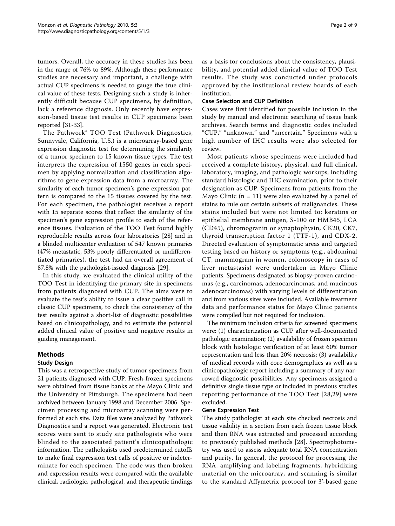tumors. Overall, the accuracy in these studies has been in the range of 76% to 89%. Although these performance studies are necessary and important, a challenge with actual CUP specimens is needed to gauge the true clinical value of these tests. Designing such a study is inherently difficult because CUP specimens, by definition, lack a reference diagnosis. Only recently have expression-based tissue test results in CUP specimens been reported [[31-33\]](#page-8-0).

The Pathwork® TOO Test (Pathwork Diagnostics, Sunnyvale, California, U.S.) is a microarray-based gene expression diagnostic test for determining the similarity of a tumor specimen to 15 known tissue types. The test interprets the expression of 1550 genes in each specimen by applying normalization and classification algorithms to gene expression data from a microarray. The similarity of each tumor specimen's gene expression pattern is compared to the 15 tissues covered by the test. For each specimen, the pathologist receives a report with 15 separate scores that reflect the similarity of the specimen's gene expression profile to each of the reference tissues. Evaluation of the TOO Test found highly reproducible results across four laboratories [\[28](#page-8-0)] and in a blinded multicenter evaluation of 547 known primaries (47% metastatic, 53% poorly differentiated or undifferentiated primaries), the test had an overall agreement of 87.8% with the pathologist-issued diagnosis [[29\]](#page-8-0).

In this study, we evaluated the clinical utility of the TOO Test in identifying the primary site in specimens from patients diagnosed with CUP. The aims were to evaluate the test's ability to issue a clear positive call in classic CUP specimens, to check the consistency of the test results against a short-list of diagnostic possibilities based on clinicopathology, and to estimate the potential added clinical value of positive and negative results in guiding management.

# Methods

# Study Design

This was a retrospective study of tumor specimens from 21 patients diagnosed with CUP. Fresh-frozen specimens were obtained from tissue banks at the Mayo Clinic and the University of Pittsburgh. The specimens had been archived between January 1998 and December 2006. Specimen processing and microarray scanning were performed at each site. Data files were analyzed by Pathwork Diagnostics and a report was generated. Electronic test scores were sent to study site pathologists who were blinded to the associated patient's clinicopathologic information. The pathologists used predetermined cutoffs to make final expression test calls of positive or indeterminate for each specimen. The code was then broken and expression results were compared with the available clinical, radiologic, pathological, and therapeutic findings as a basis for conclusions about the consistency, plausibility, and potential added clinical value of TOO Test results. The study was conducted under protocols approved by the institutional review boards of each institution.

#### Case Selection and CUP Definition

Cases were first identified for possible inclusion in the study by manual and electronic searching of tissue bank archives. Search terms and diagnostic codes included "CUP," "unknown," and "uncertain." Specimens with a high number of IHC results were also selected for review.

Most patients whose specimens were included had received a complete history, physical, and full clinical, laboratory, imaging, and pathologic workups, including standard histologic and IHC examination, prior to their designation as CUP. Specimens from patients from the Mayo Clinic  $(n = 11)$  were also evaluated by a panel of stains to rule out certain subsets of malignancies. These stains included but were not limited to: keratins or epithelial membrane antigen, S-100 or HMB45, LCA (CD45), chromogranin or synaptophysin, CK20, CK7, thyroid transcription factor 1 (TTF-1), and CDX-2. Directed evaluation of symptomatic areas and targeted testing based on history or symptoms (e.g., abdominal CT, mammogram in women, colonoscopy in cases of liver metastasis) were undertaken in Mayo Clinic patients. Specimens designated as biopsy-proven carcinomas (e.g., carcinomas, adenocarcinomas, and mucinous adenocarcinomas) with varying levels of differentiation and from various sites were included. Available treatment data and performance status for Mayo Clinic patients were compiled but not required for inclusion.

The minimum inclusion criteria for screened specimens were: (1) characterization as CUP after well-documented pathologic examination; (2) availability of frozen specimen block with histologic verification of at least 60% tumor representation and less than 20% necrosis; (3) availability of medical records with core demographics as well as a clinicopathologic report including a summary of any narrowed diagnostic possibilities. Any specimens assigned a definitive single tissue type or included in previous studies reporting performance of the TOO Test [[28,29\]](#page-8-0) were excluded.

#### Gene Expression Test

The study pathologist at each site checked necrosis and tissue viability in a section from each frozen tissue block and then RNA was extracted and processed according to previously published methods [[28\]](#page-8-0). Spectrophotometry was used to assess adequate total RNA concentration and purity. In general, the protocol for processing the RNA, amplifying and labeling fragments, hybridizing material on the microarray, and scanning is similar to the standard Affymetrix protocol for 3'-based gene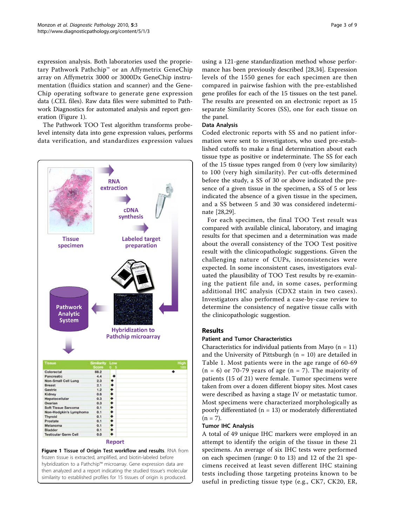expression analysis. Both laboratories used the proprietary Pathwork Pathchip™ or an Affymetrix GeneChip array on Affymetrix 3000 or 3000Dx GeneChip instrumentation (fluidics station and scanner) and the Gene-Chip operating software to generate gene expression data (.CEL files). Raw data files were submitted to Pathwork Diagnostics for automated analysis and report generation (Figure 1).

The Pathwork TOO Test algorithm transforms probelevel intensity data into gene expression values, performs data verification, and standardizes expression values



similarity to established profiles for 15 tissues of origin is produced.

using a 121-gene standardization method whose performance has been previously described [\[28,34\]](#page-8-0). Expression levels of the 1550 genes for each specimen are then compared in pairwise fashion with the pre-established gene profiles for each of the 15 tissues on the test panel. The results are presented on an electronic report as 15 separate Similarity Scores (SS), one for each tissue on the panel.

# Data Analysis

Coded electronic reports with SS and no patient information were sent to investigators, who used pre-established cutoffs to make a final determination about each tissue type as positive or indeterminate. The SS for each of the 15 tissue types ranged from 0 (very low similarity) to 100 (very high similarity). Per cut-offs determined before the study, a SS of 30 or above indicated the presence of a given tissue in the specimen, a SS of 5 or less indicated the absence of a given tissue in the specimen, and a SS between 5 and 30 was considered indeterminate [\[28,29](#page-8-0)].

For each specimen, the final TOO Test result was compared with available clinical, laboratory, and imaging results for that specimen and a determination was made about the overall consistency of the TOO Test positive result with the clinicopathologic suggestions. Given the challenging nature of CUPs, inconsistencies were expected. In some inconsistent cases, investigators evaluated the plausibility of TOO Test results by re-examining the patient file and, in some cases, performing additional IHC analysis (CDX2 stain in two cases). Investigators also performed a case-by-case review to determine the consistency of negative tissue calls with the clinicopathologic suggestion.

# Results

# Patient and Tumor Characteristics

Characteristics for individual patients from Mayo  $(n = 11)$ and the University of Pittsburgh ( $n = 10$ ) are detailed in Table [1](#page-3-0). Most patients were in the age range of 60-69  $(n = 6)$  or 70-79 years of age  $(n = 7)$ . The majority of patients (15 of 21) were female. Tumor specimens were taken from over a dozen different biopsy sites. Most cases were described as having a stage IV or metastatic tumor. Most specimens were characterized morphologically as poorly differentiated ( $n = 13$ ) or moderately differentiated  $(n = 7)$ .

# Tumor IHC Analysis

A total of 49 unique IHC markers were employed in an attempt to identify the origin of the tissue in these 21 specimens. An average of six IHC tests were performed on each specimen (range: 0 to 13) and 12 of the 21 specimens received at least seven different IHC staining tests including those targeting proteins known to be useful in predicting tissue type (e.g., CK7, CK20, ER,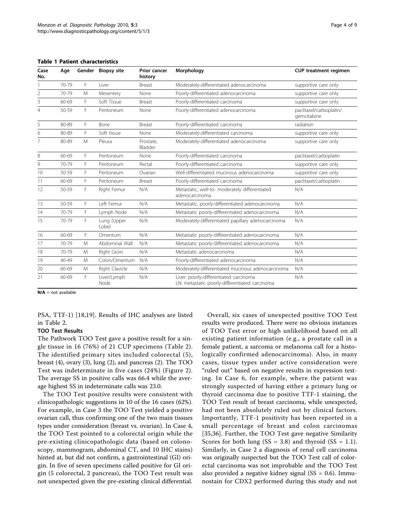<span id="page-3-0"></span>Table 1 Patient characteristics

| Case<br>No.    | Age       | Gender | <b>Biopsy site</b>   | Prior cancer<br>history | Morphology                                                                               | <b>CUP treatment regimen</b>           |  |  |
|----------------|-----------|--------|----------------------|-------------------------|------------------------------------------------------------------------------------------|----------------------------------------|--|--|
|                | 70-79     | F      | I iver               | Breast                  | Moderately-differentiated adenocarcinoma                                                 | supportive care only                   |  |  |
| $\overline{2}$ | 70-79     | M      | Mesentery            | None                    | Poorly-differentiated adenocarcinoma                                                     | supportive care only                   |  |  |
| 3              | 60-69     | F      | Soft Tissue          | Breast                  | Poorly-differentiated carcinoma                                                          | supportive care only                   |  |  |
| 4              | 50-59     | F      | Peritoneum           | None                    | Poorly-differentiated adenocarcinoma                                                     | paclitaxel/carboplatin/<br>gemcitabine |  |  |
| 5              | 80-89     | F      | Bone                 | Breast                  | Poorly-differentiated carcinoma                                                          | radiation                              |  |  |
| 6              | 80-89     | F      | Soft tissue          | None                    | Moderately-differentiated carcinoma                                                      | supportive care only                   |  |  |
| 7              | 80-89     | M      | Pleura               | Prostate,<br>Bladder    | Moderately-differentiated adenocarcinoma                                                 | supportive care only                   |  |  |
| 8              | 60-69     | F      | Peritoneum           | None                    | Poorly-differentiated carcinoma                                                          | paclitaxel/carboplatin                 |  |  |
| 9              | 70-79     | F      | Peritoneum           | Rectal                  | Poorly-differentiated carcinoma                                                          | supportive care only                   |  |  |
| 10             | $50 - 59$ | F      | Peritoneum           | Ovarian                 | Well-differentiated mucinous adenocarcinoma                                              | supportive care only                   |  |  |
| 11             | 60-69     | F      | Peritoneum           | Breast                  | Poorly-differentiated carcinoma                                                          | paclitaxel/carboplatin                 |  |  |
| 12             | 50-59     | F      | Right Femur          | N/A                     | Metastatic, well-to- moderately differentiated<br>adenocarcinoma                         | N/A                                    |  |  |
| 13             | 50-59     | F      | Left Femur           | N/A                     | Metastatic, poorly-differentiated adenocarcinoma                                         | N/A                                    |  |  |
| 14             | 70-79     | F      | Lymph Node           | N/A                     | Metastatic poorly-differentiated adenocarcinoma                                          | N/A                                    |  |  |
| 15             | 70-79     | F      | Lung (Upper<br>Lobe) | N/A                     | Moderately-differentiated papillary adenocarcinoma                                       | N/A                                    |  |  |
| 16             | 60-69     | F      | Omentum              | N/A                     | Metastatic poorly-differentiated adenocarcinoma                                          | N/A                                    |  |  |
| 17             | 70-79     | M      | Abdominal Wall       | N/A                     | Metastatic poorly-differentiated adenocarcinoma                                          | N/A                                    |  |  |
| 18             | 70-79     | M      | Right Groin          | N/A                     | Metastatic adenocarcinoma                                                                | N/A                                    |  |  |
| 19             | 40-49     | M      | Colon/Omentum        | N/A                     | Poorly-differentiated adenocarcinoma                                                     | N/A                                    |  |  |
| 20             | 60-69     | M      | Right Clavicle       | N/A                     | Moderately-differentiated mucinous adenocarcinoma                                        | N/A                                    |  |  |
| 21             | 60-69     | F      | Liver/Lymph<br>Node  | N/A                     | Liver: poorly-differentiated carcinoma<br>LN: metastatic poorly-differentiated carcinoma | N/A                                    |  |  |

 $N/A$  = not available

PSA, TTF-1) [\[18](#page-8-0),[19\]](#page-8-0). Results of IHC analyses are listed in Table [2.](#page-4-0)

# TOO Test Results

The Pathwork TOO Test gave a positive result for a single tissue in 16 (76%) of 21 CUP specimens (Table [2\)](#page-4-0). The identified primary sites included colorectal (5), breast (4), ovary (3), lung (2), and pancreas (2). The TOO Test was indeterminate in five cases (24%) (Figure [2\)](#page-5-0). The average SS in positive calls was 66.4 while the average highest SS in indeterminate calls was 23.0.

The TOO Test positive results were consistent with clinicopathologic suggestions in 10 of the 16 cases (62%). For example, in Case 3 the TOO Test yielded a positive ovarian call, thus confirming one of the two main tissues types under consideration (breast vs. ovarian). In Case 4, the TOO Test pointed to a colorectal origin while the pre-existing clinicopathologic data (based on colonoscopy, mammogram, abdominal CT, and 10 IHC stains) hinted at, but did not confirm, a gastrointestinal (GI) origin. In five of seven specimens called positive for GI origin (5 colorectal, 2 pancreas), the TOO Test result was not unexpected given the pre-existing clinical differential.

Overall, six cases of unexpected positive TOO Test results were produced. There were no obvious instances of TOO Test error or high unlikelihood based on all existing patient information (e.g., a prostate call in a female patient, a sarcoma or melanoma call for a histologically confirmed adenocarcinoma). Also, in many cases, tissue types under active consideration were "ruled out" based on negative results in expression testing. In Case 6, for example, where the patient was strongly suspected of having either a primary lung or thyroid carcinoma due to positive TTF-1 staining, the TOO Test result of breast carcinoma, while unexpected, had not been absolutely ruled out by clinical factors. Importantly, TTF-1 positivity has been reported in a small percentage of breast and colon carcinomas [[35,36](#page-8-0)]. Further, the TOO Test gave negative Similarity Scores for both lung  $(SS = 3.8)$  and thyroid  $(SS = 1.1)$ . Similarly, in Case 2 a diagnosis of renal cell carcinoma was originally suspected but the TOO Test call of colorectal carcinoma was not improbable and the TOO Test also provided a negative kidney signal  $(SS = 0.6)$ . Immunostain for CDX2 performed during this study and not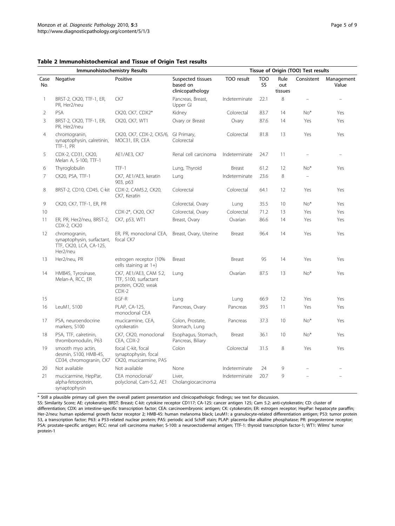|                | Immunohistochemistry Results                                                       | Tissue of Origin (TOO) Test results                                               |                                                   |               |                  |                        |                          |                     |
|----------------|------------------------------------------------------------------------------------|-----------------------------------------------------------------------------------|---------------------------------------------------|---------------|------------------|------------------------|--------------------------|---------------------|
| Case<br>No.    | Negative                                                                           | Positive                                                                          | Suspected tissues<br>based on<br>clinicopathology | TOO result    | <b>TOO</b><br>SS | Rule<br>out<br>tissues | Consistent               | Management<br>Value |
| 1              | BRST-2, CK20, TTF-1, ER,<br>PR, Her2/neu                                           | CK7                                                                               | Pancreas, Breast,<br>Upper GI                     | Indeterminate | 22.1             | 8                      | $\overline{\phantom{a}}$ |                     |
| 2              | <b>PSA</b>                                                                         | CK20, CK7, CDX2*                                                                  | Kidney                                            | Colorectal    | 83.7             | 14                     | $No*$                    | Yes                 |
| 3              | BRST-2, CK20, TTF-1, ER,<br>PR, Her2/neu                                           | CK20, CK7, WT1                                                                    | Ovary or Breast                                   | Ovary         | 87.6             | 14                     | Yes                      | Yes                 |
| $\overline{4}$ | chromogranin,<br>synaptophysin, calretinin,<br>TTF-1, PR                           | CK20, CK7, CDX-2, CK5/6, GI Primary,<br>MOC31, ER, CEA                            | Colorectal                                        | Colorectal    | 81.8             | 13                     | Yes                      | Yes                 |
| 5              | CDX-2, CD31, CK20,<br>Melan A, S-100, TTF-1                                        | AE1/AE3, CK7                                                                      | Renal cell carcinoma                              | Indeterminate | 24.7             | 11                     | $\overline{a}$           |                     |
| 6              | Thyroglobulin                                                                      | $TTF-1$                                                                           | Lung, Thyroid                                     | Breast        | 61.2             | 12                     | $No*$                    | Yes                 |
| 7              | CK20, PSA, TTF-1                                                                   | CK7, AE1/AE3, keratin<br>903, p63                                                 | Lung                                              | Indeterminate | 23.6             | 8                      |                          |                     |
| 8              | BRST-2, CD10, CD45, C-kit                                                          | CDX-2, CAM5.2, CK20,<br>CK7, Keratin                                              | Colorectal                                        | Colorectal    | 64.1             | 12                     | Yes                      | Yes                 |
| 9              | CK20, CK7, TTF-1, ER, PR                                                           |                                                                                   | Colorectal, Ovary                                 | Lung          | 35.5             | 10                     | $No*$                    | Yes                 |
| 10             |                                                                                    | CDX-2*, CK20, CK7                                                                 | Colorectal, Ovary                                 | Colorectal    | 71.2             | 13                     | Yes                      | Yes                 |
| 11             | ER, PR, Her2/neu, BRST-2,<br>CDX-2, CK20                                           | CK7, p53, WT1                                                                     | Breast, Ovary                                     | Ovarian       | 86.6             | 14                     | Yes                      | Yes                 |
| 12             | chromogranin,<br>synaptophysin, surfactant,<br>TTF, CK20, LCA, CA-125,<br>Her2/neu | ER, PR, monoclonal CEA,<br>focal CK7                                              | Breast, Ovary, Uterine                            | <b>Breast</b> | 96.4             | 14                     | Yes                      | Yes                 |
| 13             | Her2/neu, PR                                                                       | estrogen receptor (10%<br>cells staining at $1+$ )                                | Breast                                            | Breast        | 95               | 14                     | Yes                      | Yes                 |
| 14             | HMB45, Tyrosinase,<br>Melan-A, RCC, ER                                             | CK7, AE1/AE3, CAM 5.2,<br>TTF, S100, surfactant<br>protein, CK20; weak<br>$CDX-2$ | Lung                                              | Ovarian       | 87.5             | 13                     | $No*$                    | Yes                 |
| 15             |                                                                                    | EGF-R                                                                             | Lung                                              | Lung          | 66.9             | 12                     | Yes                      | Yes                 |
| 16             | LeuM1, S100                                                                        | PLAP, CA-125,<br>monoclonal CEA                                                   | Pancreas, Ovary                                   | Pancreas      | 39.5             | 11                     | Yes                      | Yes                 |
| 17             | PSA, neuroendocrine<br>markers, S100                                               | mucicarmine, CEA,<br>cytokeratin                                                  | Colon, Prostate,<br>Stomach, Lung                 | Pancreas      | 37.3             | 10                     | $No*$                    | Yes                 |
| 18             | PSA, TTF, calretinin,<br>thrombomodulin, P63                                       | CK7, CK20, monoclonal<br>CEA, CDX-2                                               | Esophagus, Stomach,<br>Pancreas, Biliary          | Breast        | 36.1             | 10                     | $No*$                    | Yes                 |
| 19             | smooth myo actin,<br>desmin, S100, HMB-45,<br>CD34, chromogranin, CK7              | focal C-kit, focal<br>synaptophysin, focal<br>CK20, mucicarmine, PAS              | Colon                                             | Colorectal    | 31.5             | 8                      | Yes                      | Yes                 |
| 20             | Not available                                                                      | Not available                                                                     | None                                              | Indeterminate | 24               | 9                      |                          |                     |
| 21             | mucicarmine, HepPar,<br>alpha-fetoprotein,<br>synaptophysin                        | CEA monoclonal/<br>polyclonal, Cam-5.2, AE1                                       | Liver,<br>Cholangiocarcinoma                      | Indeterminate | 20.7             | 9                      |                          |                     |

# <span id="page-4-0"></span>Table 2 Immunohistochemical and Tissue of Origin Test results

\* Still a plausible primary call given the overall patient presentation and clinicopathologic findings; see text for discussion.

SS: Similarity Score; AE: cytokeratin; BRST: Breast; C-kit: cytokine receptor CD117; CA-125: cancer antigen 125; Cam 5.2: anti-cytokeratin; CD: cluster of differentiation; CDX: an intestine-specific transcription factor; CEA: carcinoembryonic antigen; CK: cytokeratin; ER: estrogen receptor; HepPar: hepatocyte paraffin; Her-2/neu: human epidermal growth factor receptor 2; HMB-45: human melanoma black; LeuM1: a granulocyte-related differentiation antigen; P53: tumor protein 53, a transcription factor; P63: a P53-related nuclear protein; PAS: periodic acid Schiff stain; PLAP: placenta-like alkaline phosphatase; PR: progesterone receptor; PSA: prostate-specific antigen; RCC: renal cell carcinoma marker; S-100: a neuroectodermal antigen; TTF-1: thyroid transcription factor-1; WT1: Wilms' tumor protein-1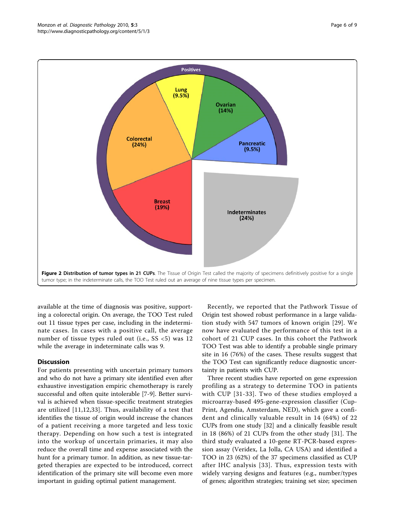<span id="page-5-0"></span>

available at the time of diagnosis was positive, supporting a colorectal origin. On average, the TOO Test ruled out 11 tissue types per case, including in the indeterminate cases. In cases with a positive call, the average number of tissue types ruled out (i.e., SS <5) was 12 while the average in indeterminate calls was 9.

#### Discussion

For patients presenting with uncertain primary tumors and who do not have a primary site identified even after exhaustive investigation empiric chemotherapy is rarely successful and often quite intolerable [\[7](#page-8-0)-[9\]](#page-8-0). Better survival is achieved when tissue-specific treatment strategies are utilized [\[11,12](#page-8-0),[33\]](#page-8-0). Thus, availability of a test that identifies the tissue of origin would increase the chances of a patient receiving a more targeted and less toxic therapy. Depending on how such a test is integrated into the workup of uncertain primaries, it may also reduce the overall time and expense associated with the hunt for a primary tumor. In addition, as new tissue-targeted therapies are expected to be introduced, correct identification of the primary site will become even more important in guiding optimal patient management.

Recently, we reported that the Pathwork Tissue of Origin test showed robust performance in a large validation study with 547 tumors of known origin [\[29\]](#page-8-0). We now have evaluated the performance of this test in a cohort of 21 CUP cases. In this cohort the Pathwork TOO Test was able to identify a probable single primary site in 16 (76%) of the cases. These results suggest that the TOO Test can significantly reduce diagnostic uncertainty in patients with CUP.

Three recent studies have reported on gene expression profiling as a strategy to determine TOO in patients with CUP [[31](#page-8-0)-[33\]](#page-8-0). Two of these studies employed a microarray-based 495-gene-expression classifier (Cup-Print, Agendia, Amsterdam, NED), which gave a confident and clinically valuable result in 14 (64%) of 22 CUPs from one study [[32\]](#page-8-0) and a clinically feasible result in 18 (86%) of 21 CUPs from the other study [\[31](#page-8-0)]. The third study evaluated a 10-gene RT-PCR-based expression assay (Veridex, La Jolla, CA USA) and identified a TOO in 23 (62%) of the 37 specimens classified as CUP after IHC analysis [[33\]](#page-8-0). Thus, expression tests with widely varying designs and features (e.g., number/types of genes; algorithm strategies; training set size; specimen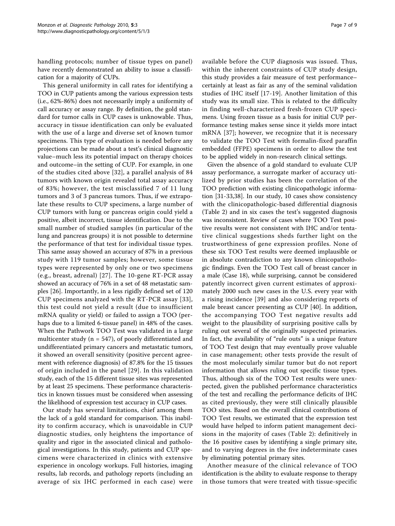handling protocols; number of tissue types on panel) have recently demonstrated an ability to issue a classification for a majority of CUPs.

This general uniformity in call rates for identifying a TOO in CUP patients among the various expression tests (i.e., 62%-86%) does not necessarily imply a uniformity of call accuracy or assay range. By definition, the gold standard for tumor calls in CUP cases is unknowable. Thus, accuracy in tissue identification can only be evaluated with the use of a large and diverse set of known tumor specimens. This type of evaluation is needed before any projections can be made about a test's clinical diagnostic value–much less its potential impact on therapy choices and outcome–in the setting of CUP. For example, in one of the studies cited above [[32](#page-8-0)], a parallel analysis of 84 tumors with known origin revealed total assay accuracy of 83%; however, the test misclassified 7 of 11 lung tumors and 3 of 3 pancreas tumors. Thus, if we extrapolate these results to CUP specimens, a large number of CUP tumors with lung or pancreas origin could yield a positive, albeit incorrect, tissue identification. Due to the small number of studied samples (in particular of the lung and pancreas groups) it is not possible to determine the performance of that test for individual tissue types. This same assay showed an accuracy of 87% in a previous study with 119 tumor samples; however, some tissue types were represented by only one or two specimens (e.g., breast, adrenal) [\[27\]](#page-8-0). The 10-gene RT-PCR assay showed an accuracy of 76% in a set of 48 metastatic samples [[26\]](#page-8-0). Importantly, in a less rigidly defined set of 120 CUP specimens analyzed with the RT-PCR assay [[33\]](#page-8-0), this test could not yield a result (due to insufficient mRNA quality or yield) or failed to assign a TOO (perhaps due to a limited 6-tissue panel) in 48% of the cases. When the Pathwork TOO Test was validated in a large multicenter study ( $n = 547$ ), of poorly differentiated and undifferentiated primary cancers and metastatic tumors, it showed an overall sensitivity (positive percent agreement with reference diagnosis) of 87.8% for the 15 tissues of origin included in the panel [[29](#page-8-0)]. In this validation study, each of the 15 different tissue sites was represented by at least 25 specimens. These performance characteristics in known tissues must be considered when assessing the likelihood of expression test accuracy in CUP cases.

Our study has several limitations, chief among them the lack of a gold standard for comparison. This inability to confirm accuracy, which is unavoidable in CUP diagnostic studies, only heightens the importance of quality and rigor in the associated clinical and pathological investigations. In this study, patients and CUP specimens were characterized in clinics with extensive experience in oncology workups. Full histories, imaging results, lab records, and pathology reports (including an average of six IHC performed in each case) were available before the CUP diagnosis was issued. Thus, within the inherent constraints of CUP study design, this study provides a fair measure of test performance– certainly at least as fair as any of the seminal validation studies of IHC itself [[17-19](#page-8-0)]. Another limitation of this study was its small size. This is related to the difficulty in finding well-characterized fresh-frozen CUP specimens. Using frozen tissue as a basis for initial CUP performance testing makes sense since it yields more intact mRNA [[37\]](#page-8-0); however, we recognize that it is necessary to validate the TOO Test with formalin-fixed paraffin embedded (FFPE) specimens in order to allow the test to be applied widely in non-research clinical settings.

Given the absence of a gold standard to evaluate CUP assay performance, a surrogate marker of accuracy utilized by prior studies has been the correlation of the TOO prediction with existing clinicopathologic information [[31-33,38](#page-8-0)]. In our study, 10 cases show consistency with the clinicopathologic-based differential diagnosis (Table [2\)](#page-4-0) and in six cases the test's suggested diagnosis was inconsistent. Review of cases where TOO Test positive results were not consistent with IHC and/or tentative clinical suggestions sheds further light on the trustworthiness of gene expression profiles. None of these six TOO Test results were deemed implausible or in absolute contradiction to any known clinicopathologic findings. Even the TOO Test call of breast cancer in a male (Case 18), while surprising, cannot be considered patently incorrect given current estimates of approximately 2000 such new cases in the U.S. every year with a rising incidence [\[39\]](#page-8-0) and also considering reports of male breast cancer presenting as CUP [\[40](#page-8-0)]. In addition, the accompanying TOO Test negative results add weight to the plausibility of surprising positive calls by ruling out several of the originally suspected primaries. In fact, the availability of "rule outs" is a unique feature of TOO Test design that may eventually prove valuable in case management; other tests provide the result of the most molecularly similar tumor but do not report information that allows ruling out specific tissue types. Thus, although six of the TOO Test results were unexpected, given the published performance characteristics of the test and recalling the performance deficits of IHC as cited previously, they were still clinically plausible TOO sites. Based on the overall clinical contributions of TOO Test results, we estimated that the expression test would have helped to inform patient management decisions in the majority of cases (Table [2\)](#page-4-0): definitively in the 16 positive cases by identifying a single primary site, and to varying degrees in the five indeterminate cases by eliminating potential primary sites.

Another measure of the clinical relevance of TOO identification is the ability to evaluate response to therapy in those tumors that were treated with tissue-specific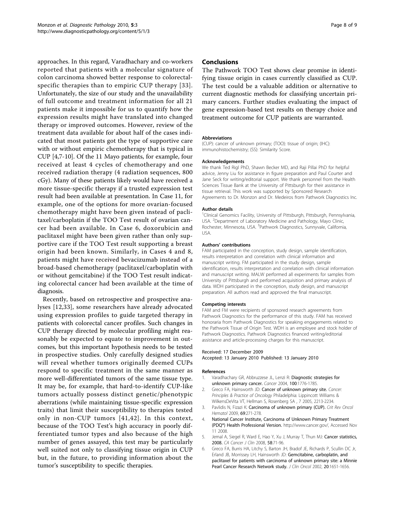<span id="page-7-0"></span>approaches. In this regard, Varadhachary and co-workers reported that patients with a molecular signature of colon carcinoma showed better response to colorectalspecific therapies than to empiric CUP therapy [[33\]](#page-8-0). Unfortunately, the size of our study and the unavailability of full outcome and treatment information for all 21 patients make it impossible for us to quantify how the expression results might have translated into changed therapy or improved outcomes. However, review of the treatment data available for about half of the cases indicated that most patients got the type of supportive care with or without empiric chemotherapy that is typical in CUP [4,[7-10](#page-8-0)]. Of the 11 Mayo patients, for example, four received at least 4 cycles of chemotherapy and one received radiation therapy (4 radiation sequences, 800 cGy). Many of these patients likely would have received a more tissue-specific therapy if a trusted expression test result had been available at presentation. In Case 11, for example, one of the options for more ovarian-focused chemotherapy might have been given instead of paclitaxel/carboplatin if the TOO Test result of ovarian cancer had been available. In Case 6, doxorubicin and paclitaxel might have been given rather than only supportive care if the TOO Test result supporting a breast origin had been known. Similarly, in Cases 4 and 8, patients might have received bevacizumab instead of a broad-based chemotherapy (paclitaxel/carboplatin with or without gemcitabine) if the TOO Test result indicating colorectal cancer had been available at the time of diagnosis.

Recently, based on retrospective and prospective analyses [\[12](#page-8-0),[33\]](#page-8-0), some researchers have already advocated using expression profiles to guide targeted therapy in patients with colorectal cancer profiles. Such changes in CUP therapy directed by molecular profiling might reasonably be expected to equate to improvement in outcomes, but this important hypothesis needs to be tested in prospective studies. Only carefully designed studies will reveal whether tumors originally deemed CUPs respond to specific treatment in the same manner as more well-differentiated tumors of the same tissue type. It may be, for example, that hard-to-identify CUP-like tumors actually possess distinct genetic/phenotypic aberrations (while maintaining tissue-specific expression traits) that limit their susceptibility to therapies tested only in non-CUP tumors [[41,42\]](#page-8-0). In this context, because of the TOO Test's high accuracy in poorly differentiated tumor types and also because of the high number of genes assayed, this test may be particularly well suited not only to classifying tissue origin in CUP but, in the future, to providing information about the tumor's susceptibility to specific therapies.

#### Conclusions

The Pathwork TOO Test shows clear promise in identifying tissue origin in cases currently classified as CUP. The test could be a valuable addition or alternative to current diagnostic methods for classifying uncertain primary cancers. Further studies evaluating the impact of gene expression-based test results on therapy choice and treatment outcome for CUP patients are warranted.

#### Abbreviations

(CUP): cancer of unknown primary; (TOO): tissue of origin; (IHC): immunohistochemistry; (SS): Similarity Score.

#### Acknowledgements

We thank Ted Rigl PhD, Shawn Becker MD, and Raji Pillai PhD for helpful advice, Jenny Liu for assistance in figure preparation and Paul Courter and Jane Seck for writing/editorial support. We thank personnel from the Health Sciences Tissue Bank at the University of Pittsburgh for their assistance in tissue retrieval. This work was supported by Sponsored Research Agreements to Dr. Monzon and Dr. Medeiros from Pathwork Diagnostics Inc.

#### Author details

<sup>1</sup>Clinical Genomics Facility, University of Pittsburgh, Pittsburgh, Pennsylvania, USA. <sup>2</sup>Department of Laboratory Medicine and Pathology, Mayo Clinic Rochester, Minnesota, USA. <sup>3</sup>Pathwork Diagnostics, Sunnyvale, California, USA.

#### Authors' contributions

FAM participated in the conception, study design, sample identification, results interpretation and correlation with clinical information and manuscript writing. FM participated in the study design, sample identification, results interpretation and correlation with clinical information and manuscript writing. MALW performed all experiments for samples from University of Pittsburgh and performed acquisition and primary analysis of data. WDH participated in the conception, study design, and manuscript preparation. All authors read and approved the final manuscript.

#### Competing interests

FAM and FM were recipients of sponsored research agreements from Pathwork Diagnostics for the performance of this study. FAM has received honoraria from Pathwork Diagnostics for speaking engagements related to the Pathwork Tissue of Origin Test. WDH is an employee and stock holder of Pathwork Diagnostics. Pathwork Diagnostics financed writing/editorial assistance and article-processing charges for this manuscript.

#### Accepted: 13 January 2010 Published: 13 January 2010

Received: 17 December 2009

#### References

- Varadhachary GR, Abbruzzese JL, Lenzi R: [Diagnostic strategies for](http://www.ncbi.nlm.nih.gov/pubmed/15112256?dopt=Abstract) [unknown primary cancer.](http://www.ncbi.nlm.nih.gov/pubmed/15112256?dopt=Abstract) Cancer 2004, 100:1776-1785.
- Greco FA, Hainsworth JD: Cancer of unknown primary site. Cancer: Principles & Practice of Oncology Philadelphia: Lippincott Williams & WilkensDeVita VT, Hellman S, Rosenberg SA , 7 2005, 2213-2234.
- 3. Pavlidis N, Fizazi K: [Carcinoma of unknown primary \(CUP\).](http://www.ncbi.nlm.nih.gov/pubmed/18977667?dopt=Abstract) Crit Rev Oncol Hematol 2009, 69:271-278.
- 4. National Cancer Institute, Carcinoma of Unknown Primary Treatment (PDQ®) Health Professional Version. [http://www.cancer.gov/,](http://www.cancer.gov/) Accessed Nov 11 2008.
- Jemal A, Siegel R, Ward E, Hao Y, Xu J, Murray T, Thun MJ: [Cancer statistics,](http://www.ncbi.nlm.nih.gov/pubmed/18287387?dopt=Abstract) [2008.](http://www.ncbi.nlm.nih.gov/pubmed/18287387?dopt=Abstract) CA Cancer J Clin 2008, 58:71-96.
- 6. Greco FA, Burris HA, Litchy S, Barton JH, Bradof JE, Richards P, Scullin DC Jr, Erland JB, Morrissey LH, Hainsworth JD: [Gemcitabine, carboplatin, and](http://www.ncbi.nlm.nih.gov/pubmed/11896116?dopt=Abstract) [paclitaxel for patients with carcinoma of unknown primary site: a Minnie](http://www.ncbi.nlm.nih.gov/pubmed/11896116?dopt=Abstract) [Pearl Cancer Research Network study.](http://www.ncbi.nlm.nih.gov/pubmed/11896116?dopt=Abstract) J Clin Oncol 2002, 20:1651-1656.